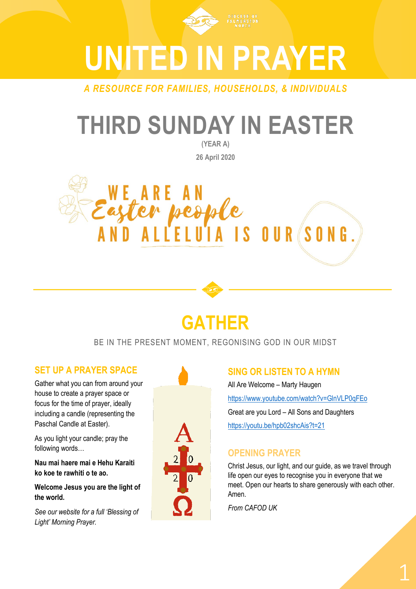

# **UNITED IN PRAYER**

*A RESOURCE FOR FAMILIES, HOUSEHOLDS, & INDIVIDUALS*

# **THIRD SUNDAY IN EASTER (YEAR A)**

**26 April 2020**





# BE IN THE PRESENT MOMENT, REGONISING GOD IN OUR MIDST

# **SET UP A PRAYER SPACE**

Gather what you can from around your house to create a prayer space or focus for the time of prayer, ideally including a candle (representing the Paschal Candle at Easter).

As you light your candle; pray the following words…

**Nau mai haere mai e Hehu Karaiti ko koe te rawhiti o te ao.** 

**Welcome Jesus you are the light of the world.**

*See our website for a full 'Blessing of Light' Morning Prayer.*



# **SING OR LISTEN TO A HYMN**

All Are Welcome – Marty Haugen <https://www.youtube.com/watch?v=GlnVLP0qFEo> Great are you Lord – All Sons and Daughters <https://youtu.be/hpb02shcAis?t=21>

# **OPENING PRAYER**

Christ Jesus, our light, and our guide, as we travel through life open our eyes to recognise you in everyone that we meet. Open our hearts to share generously with each other. Amen.

*From CAFOD UK*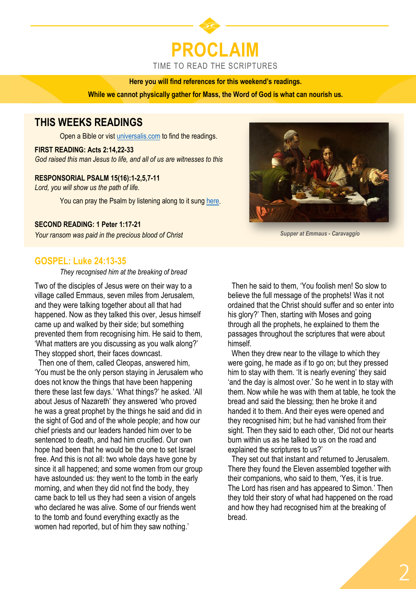

#### **Here you will find references for this weekend's readings.**

**While we cannot physically gather for Mass, the Word of God is what can nourish us.** 

# **THIS WEEKS READINGS**

Open a Bible or vist [universalis.com](https://universalis.com/mass.htm) to find the readings.

### **FIRST READING: Acts 2:14,22-33**

*God raised this man Jesus to life, and all of us are witnesses to this*

#### **RESPONSORIAL PSALM 15(16):1-2,5,7-11**

*Lord, you will show us the path of life.*

You can pray the Psalm by listening along to it sung [here.](https://www.youtube.com/watch?v=7NOhNrfAfeQ)

#### **SECOND READING: 1 Peter 1:17-21**

*Your ransom was paid in the precious blood of Christ*

### **GOSPEL: Luke 24:13-35**

*They recognised him at the breaking of bread*

Two of the disciples of Jesus were on their way to a village called Emmaus, seven miles from Jerusalem, and they were talking together about all that had happened. Now as they talked this over, Jesus himself came up and walked by their side; but something prevented them from recognising him. He said to them, 'What matters are you discussing as you walk along?' They stopped short, their faces downcast.

 Then one of them, called Cleopas, answered him, 'You must be the only person staying in Jerusalem who does not know the things that have been happening there these last few days.' 'What things?' he asked. 'All about Jesus of Nazareth' they answered 'who proved he was a great prophet by the things he said and did in the sight of God and of the whole people; and how our chief priests and our leaders handed him over to be sentenced to death, and had him crucified. Our own hope had been that he would be the one to set Israel free. And this is not all: two whole days have gone by since it all happened; and some women from our group have astounded us: they went to the tomb in the early morning, and when they did not find the body, they came back to tell us they had seen a vision of angels who declared he was alive. Some of our friends went to the tomb and found everything exactly as the women had reported, but of him they saw nothing.'



*Supper at Emmaus - Caravaggio*

 Then he said to them, 'You foolish men! So slow to believe the full message of the prophets! Was it not ordained that the Christ should suffer and so enter into his glory?' Then, starting with Moses and going through all the prophets, he explained to them the passages throughout the scriptures that were about himself.

 When they drew near to the village to which they were going, he made as if to go on; but they pressed him to stay with them. 'It is nearly evening' they said 'and the day is almost over.' So he went in to stay with them. Now while he was with them at table, he took the bread and said the blessing; then he broke it and handed it to them. And their eyes were opened and they recognised him; but he had vanished from their sight. Then they said to each other, 'Did not our hearts burn within us as he talked to us on the road and explained the scriptures to us?'

 They set out that instant and returned to Jerusalem. There they found the Eleven assembled together with their companions, who said to them, 'Yes, it is true. The Lord has risen and has appeared to Simon.' Then they told their story of what had happened on the road and how they had recognised him at the breaking of bread.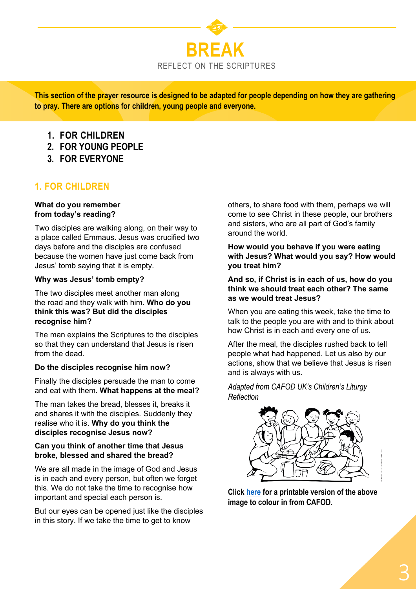

**This section of the prayer resource is designed to be adapted for people depending on how they are gathering to pray. There are options for children, young people and everyone.**

- **1. FOR CHILDREN**
- **2. FOR YOUNG PEOPLE**
- **3. FOR EVERYONE**

# **1. FOR CHILDREN**

#### **What do you remember from today's reading?**

Two disciples are walking along, on their way to a place called Emmaus. Jesus was crucified two days before and the disciples are confused because the women have just come back from Jesus' tomb saying that it is empty.

#### **Why was Jesus' tomb empty?**

The two disciples meet another man along the road and they walk with him. **Who do you think this was? But did the disciples recognise him?**

The man explains the Scriptures to the disciples so that they can understand that Jesus is risen from the dead.

#### **Do the disciples recognise him now?**

Finally the disciples persuade the man to come and eat with them. **What happens at the meal?**

The man takes the bread, blesses it, breaks it and shares it with the disciples. Suddenly they realise who it is. **Why do you think the disciples recognise Jesus now?**

#### **Can you think of another time that Jesus broke, blessed and shared the bread?**

We are all made in the image of God and Jesus is in each and every person, but often we forget this. We do not take the time to recognise how important and special each person is.

But our eyes can be opened just like the disciples in this story. If we take the time to get to know

others, to share food with them, perhaps we will come to see Christ in these people, our brothers and sisters, who are all part of God's family around the world.

#### **How would you behave if you were eating with Jesus? What would you say? How would you treat him?**

#### **And so, if Christ is in each of us, how do you think we should treat each other? The same as we would treat Jesus?**

When you are eating this week, take the time to talk to the people you are with and to think about how Christ is in each and every one of us.

After the meal, the disciples rushed back to tell people what had happened. Let us also by our actions, show that we believe that Jesus is risen and is always with us.

*Adapted from CAFOD UK's Children's Liturgy Reflection*



**Click [here](https://cafod.org.uk/content/download/14179/113313/version/5/Prayer_childrens-liturgy_3rd-Sunday-Easter-A-pic.pdf) for a printable version of the above image to colour in from CAFOD.**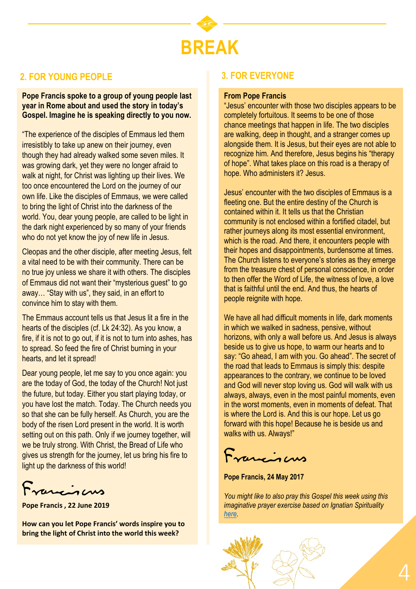

# **2. FOR YOUNG PEOPLE 3. FOR EVERYONE**

**Pope Francis spoke to a group of young people last year in Rome about and used the story in today's Gospel. Imagine he is speaking directly to you now.**

"The experience of the disciples of Emmaus led them irresistibly to take up anew on their journey, even though they had already walked some seven miles. It was growing dark, yet they were no longer afraid to walk at night, for Christ was lighting up their lives. We too once encountered the Lord on the journey of our own life. Like the disciples of Emmaus, we were called to bring the light of Christ into the darkness of the world. You, dear young people, are called to be light in the dark night experienced by so many of your friends who do not yet know the joy of new life in Jesus.

Cleopas and the other disciple, after meeting Jesus, felt a vital need to be with their community. There can be no true joy unless we share it with others. The disciples of Emmaus did not want their "mysterious guest" to go away… "Stay with us", they said, in an effort to convince him to stay with them.

The Emmaus account tells us that Jesus lit a fire in the hearts of the disciples (cf. Lk 24:32). As you know, a fire, if it is not to go out, if it is not to turn into ashes, has to spread. So feed the fire of Christ burning in your hearts, and let it spread!

Dear young people, let me say to you once again: you are the today of God, the today of the Church! Not just the future, but today. Either you start playing today, or you have lost the match. Today. The Church needs you so that she can be fully herself. As Church, you are the body of the risen Lord present in the world. It is worth setting out on this path. Only if we journey together, will we be truly strong. With Christ, the Bread of Life who gives us strength for the journey, let us bring his fire to light up the darkness of this world!

variación

**Pope Francis , 22 June 2019**

**How can you let Pope Francis' words inspire you to bring the light of Christ into the world this week?**

#### **From Pope Francis**

"Jesus' encounter with those two disciples appears to be completely fortuitous. It seems to be one of those chance meetings that happen in life. The two disciples are walking, deep in thought, and a stranger comes up alongside them. It is Jesus, but their eyes are not able to recognize him. And therefore, Jesus begins his "therapy of hope". What takes place on this road is a therapy of hope. Who administers it? Jesus.

Jesus' encounter with the two disciples of Emmaus is a fleeting one. But the entire destiny of the Church is contained within it. It tells us that the Christian community is not enclosed within a fortified citadel, but rather journeys along its most essential environment, which is the road. And there, it encounters people with their hopes and disappointments, burdensome at times. The Church listens to everyone's stories as they emerge from the treasure chest of personal conscience, in order to then offer the Word of Life, the witness of love, a love that is faithful until the end. And thus, the hearts of people reignite with hope.

We have all had difficult moments in life, dark moments in which we walked in sadness, pensive, without horizons, with only a wall before us. And Jesus is always beside us to give us hope, to warm our hearts and to say: "Go ahead, I am with you. Go ahead". The secret of the road that leads to Emmaus is simply this: despite appearances to the contrary, we continue to be loved and God will never stop loving us. God will walk with us always, always, even in the most painful moments, even in the worst moments, even in moments of defeat. That is where the Lord is. And this is our hope. Let us go forward with this hope! Because he is beside us and walks with us. Always!"

Franciscus

**Pope Francis, 24 May 2017**

*You might like to also pray this Gospel this week using this imaginative prayer exercise based on Ignatian Spirituality [here.](https://www.ignatianspirituality.com/imaginative-prayer-a-meeting-on-the-road-to-emmaus/)*